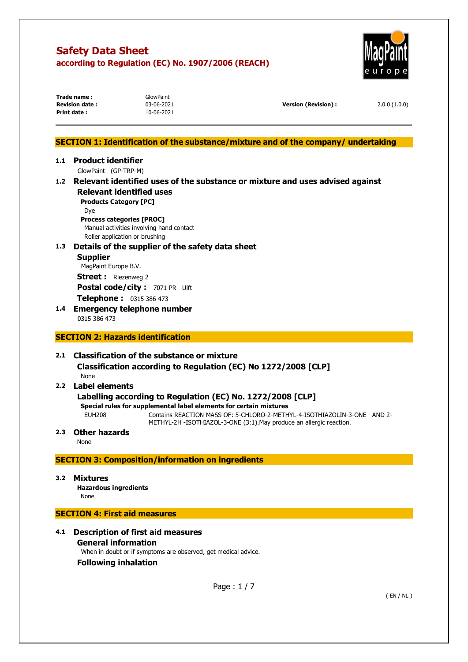Trade name : **GlowPaint** 



|     | <b>Revision date:</b><br>Print date: | 03-06-2021<br>10-06-2021                                           | <b>Version (Revision):</b>                                                        | 2.0.0(1.0.0) |
|-----|--------------------------------------|--------------------------------------------------------------------|-----------------------------------------------------------------------------------|--------------|
|     |                                      |                                                                    |                                                                                   |              |
|     |                                      |                                                                    | SECTION 1: Identification of the substance/mixture and of the company/undertaking |              |
| 1.1 | <b>Product identifier</b>            |                                                                    |                                                                                   |              |
|     | GlowPaint (GP-TRP-M)                 |                                                                    |                                                                                   |              |
|     |                                      |                                                                    | 1.2 Relevant identified uses of the substance or mixture and uses advised against |              |
|     |                                      | <b>Relevant identified uses</b>                                    |                                                                                   |              |
|     | <b>Products Category [PC]</b>        |                                                                    |                                                                                   |              |
|     | Dye                                  |                                                                    |                                                                                   |              |
|     | <b>Process categories [PROC]</b>     | Manual activities involving hand contact                           |                                                                                   |              |
|     |                                      | Roller application or brushing                                     |                                                                                   |              |
| 1.3 |                                      | Details of the supplier of the safety data sheet                   |                                                                                   |              |
|     | <b>Supplier</b>                      |                                                                    |                                                                                   |              |
|     | MagPaint Europe B.V.                 |                                                                    |                                                                                   |              |
|     | <b>Street:</b> Riezenweg 2           |                                                                    |                                                                                   |              |
|     |                                      | Postal code/city: 7071 PR Ulft                                     |                                                                                   |              |
|     | Telephone: 0315 386 473              |                                                                    |                                                                                   |              |
| 1.4 |                                      | <b>Emergency telephone number</b>                                  |                                                                                   |              |
|     | 0315 386 473                         |                                                                    |                                                                                   |              |
|     |                                      |                                                                    |                                                                                   |              |
|     |                                      | <b>SECTION 2: Hazards identification</b>                           |                                                                                   |              |
| 2.1 |                                      | <b>Classification of the substance or mixture</b>                  |                                                                                   |              |
|     |                                      | Classification according to Regulation (EC) No 1272/2008 [CLP]     |                                                                                   |              |
|     | None                                 |                                                                    |                                                                                   |              |
| 2.2 | Label elements                       |                                                                    |                                                                                   |              |
|     |                                      | Labelling according to Regulation (EC) No. 1272/2008 [CLP]         |                                                                                   |              |
|     |                                      | Special rules for supplemental label elements for certain mixtures |                                                                                   |              |
|     | <b>EUH208</b>                        |                                                                    | Contains REACTION MASS OF: 5-CHLORO-2-METHYL-4-ISOTHIAZOLIN-3-ONE AND 2-          |              |
|     |                                      |                                                                    | METHYL-2H -ISOTHIAZOL-3-ONE (3:1). May produce an allergic reaction.              |              |
| 2.3 | <b>Other hazards</b>                 |                                                                    |                                                                                   |              |
|     | None                                 |                                                                    |                                                                                   |              |
|     |                                      | <b>SECTION 3: Composition/information on ingredients</b>           |                                                                                   |              |
|     |                                      |                                                                    |                                                                                   |              |
| 3.2 | <b>Mixtures</b>                      |                                                                    |                                                                                   |              |
|     | <b>Hazardous ingredients</b>         |                                                                    |                                                                                   |              |
|     | None                                 |                                                                    |                                                                                   |              |
|     | <b>SECTION 4: First aid measures</b> |                                                                    |                                                                                   |              |
|     |                                      |                                                                    |                                                                                   |              |
| 4.1 |                                      | <b>Description of first aid measures</b>                           |                                                                                   |              |
|     | <b>General information</b>           |                                                                    |                                                                                   |              |
|     |                                      | When in doubt or if symptoms are observed, get medical advice.     |                                                                                   |              |
|     | <b>Following inhalation</b>          |                                                                    |                                                                                   |              |
|     |                                      |                                                                    |                                                                                   |              |
|     |                                      |                                                                    | Page: $1/7$                                                                       |              |
|     |                                      |                                                                    |                                                                                   | (EN/NL)      |
|     |                                      |                                                                    |                                                                                   |              |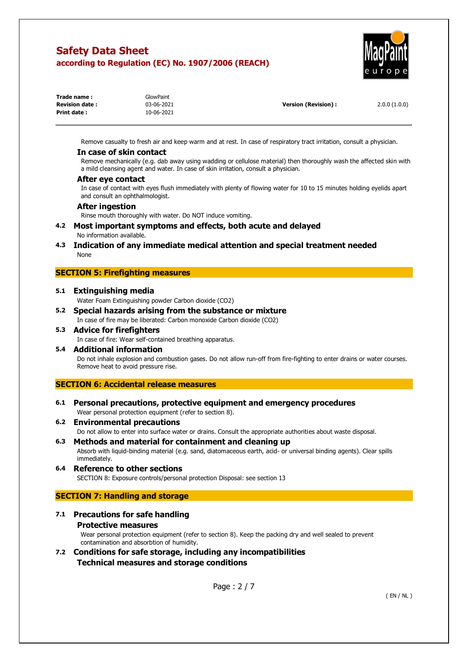

| Trade name:           | GlowPaint  |                      |              |
|-----------------------|------------|----------------------|--------------|
| <b>Revision date:</b> | 03-06-2021 | Version (Revision) : | 2.0.0(1.0.0) |
| Print date :          | 10-06-2021 |                      |              |

Remove casualty to fresh air and keep warm and at rest. In case of respiratory tract irritation, consult a physician.

#### **In case of skin contact**

Remove mechanically (e.g. dab away using wadding or cellulose material) then thoroughly wash the affected skin with a mild cleansing agent and water. In case of skin irritation, consult a physician.

#### **After eye contact**

In case of contact with eyes flush immediately with plenty of flowing water for 10 to 15 minutes holding eyelids apart and consult an ophthalmologist.

#### **After ingestion**

Rinse mouth thoroughly with water. Do NOT induce vomiting.

- **4.2 Most important symptoms and effects, both acute and delayed**  No information available.
- **4.3 Indication of any immediate medical attention and special treatment needed**  None

# **SECTION 5: Firefighting measures**

#### **5.1 Extinguishing media**

- Water Foam Extinguishing powder Carbon dioxide (CO2)
- **5.2 Special hazards arising from the substance or mixture**  In case of fire may be liberated: Carbon monoxide Carbon dioxide (CO2)
- **5.3 Advice for firefighters**  In case of fire: Wear self-contained breathing apparatus.

# **5.4 Additional information**

Do not inhale explosion and combustion gases. Do not allow run-off from fire-fighting to enter drains or water courses. Remove heat to avoid pressure rise.

# **SECTION 6: Accidental release measures**

- **6.1 Personal precautions, protective equipment and emergency procedures** 
	- Wear personal protection equipment (refer to section 8).
- **6.2 Environmental precautions**  Do not allow to enter into surface water or drains. Consult the appropriate authorities about waste disposal.
- **6.3 Methods and material for containment and cleaning up**  Absorb with liquid-binding material (e.g. sand, diatomaceous earth, acid- or universal binding agents). Clear spills immediately.

## **6.4 Reference to other sections**  SECTION 8: Exposure controls/personal protection Disposal: see section 13

## **SECTION 7: Handling and storage**

# **7.1 Precautions for safe handling Protective measures**

Wear personal protection equipment (refer to section 8). Keep the packing dry and well sealed to prevent contamination and absorbtion of humidity.

**7.2 Conditions for safe storage, including any incompatibilities Technical measures and storage conditions** 

Page : 2 / 7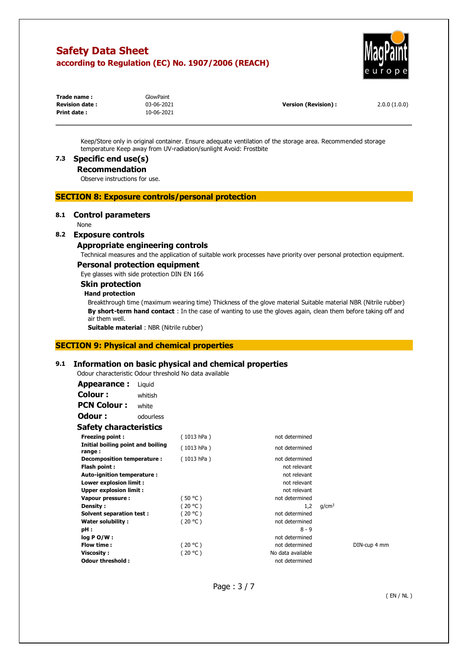

| Trade name:           | GlowPaint  |                      |              |
|-----------------------|------------|----------------------|--------------|
| <b>Revision date:</b> | 03-06-2021 | Version (Revision) : | 2.0.0(1.0.0) |
| Print date:           | 10-06-2021 |                      |              |

Keep/Store only in original container. Ensure adequate ventilation of the storage area. Recommended storage temperature Keep away from UV-radiation/sunlight Avoid: Frostbite

# **7.3 Specific end use(s)**

## **Recommendation**

Observe instructions for use.

# **SECTION 8: Exposure controls/personal protection**

## **8.1 Control parameters**

None

# **8.2 Exposure controls**

## **Appropriate engineering controls**

Technical measures and the application of suitable work processes have priority over personal protection equipment.

## **Personal protection equipment**

Eye glasses with side protection DIN EN 166

# **Skin protection**

#### **Hand protection**

Breakthrough time (maximum wearing time) Thickness of the glove material Suitable material NBR (Nitrile rubber) **By short-term hand contact** : In the case of wanting to use the gloves again, clean them before taking off and air them well.

**Suitable material** : NBR (Nitrile rubber)

# **SECTION 9: Physical and chemical properties**

## **9.1 Information on basic physical and chemical properties**

Odour characteristic Odour threshold No data available

| Appearance:                                 | Liguid    |            |                   |                   |              |
|---------------------------------------------|-----------|------------|-------------------|-------------------|--------------|
| Colour :                                    | whitish   |            |                   |                   |              |
| <b>PCN Colour:</b>                          | white     |            |                   |                   |              |
| Odour:                                      | odourless |            |                   |                   |              |
| <b>Safety characteristics</b>               |           |            |                   |                   |              |
| Freezing point:                             |           | (1013 hPa) | not determined    |                   |              |
| Initial boiling point and boiling<br>range: |           | (1013 hPa) | not determined    |                   |              |
| Decomposition temperature :                 |           | (1013 hPa) | not determined    |                   |              |
| Flash point:                                |           |            | not relevant      |                   |              |
| Auto-ignition temperature :                 |           |            | not relevant      |                   |              |
| Lower explosion limit :                     |           |            | not relevant      |                   |              |
| <b>Upper explosion limit:</b>               |           |            | not relevant      |                   |              |
| Vapour pressure:                            |           | (50 °C)    | not determined    |                   |              |
| Density:                                    |           | (20 °C)    | 1,2               | g/cm <sup>3</sup> |              |
| Solvent separation test:                    |           | (20 °C)    | not determined    |                   |              |
| <b>Water solubility:</b>                    |           | (20 °C )   | not determined    |                   |              |
| pH:                                         |           |            | $8 - 9$           |                   |              |
| $log P O/W$ :                               |           |            | not determined    |                   |              |
| Flow time:                                  |           | (20 °C)    | not determined    |                   | DIN-cup 4 mm |
| <b>Viscosity:</b>                           |           | (20 °C )   | No data available |                   |              |
| Odour threshold:                            |           |            | not determined    |                   |              |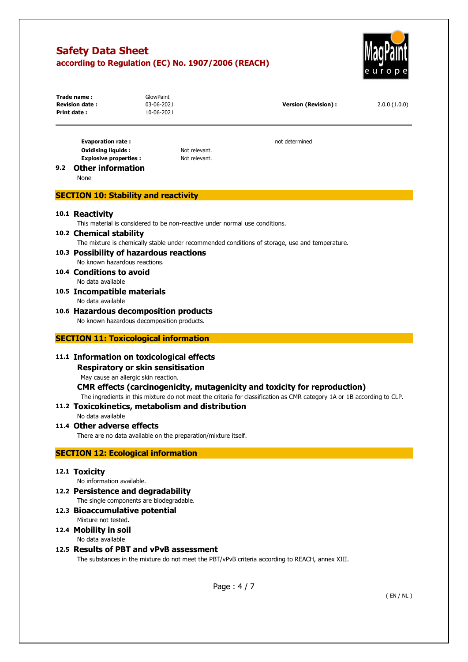

| Trade name:<br><b>Revision date:</b><br>Print date : | GlowPaint<br>03-06-2021<br>10-06-2021 | Version (Revision) : | 2.0.0(1.0.0) |
|------------------------------------------------------|---------------------------------------|----------------------|--------------|
|                                                      |                                       |                      |              |

**Evaporation rate : not determined Oxidising liquids :** Not relevant. **Explosive properties :** Not relevant.

# **9.2 Other information**

None

# **SECTION 10: Stability and reactivity**

# **10.1 Reactivity**

This material is considered to be non-reactive under normal use conditions.

#### **10.2 Chemical stability**

The mixture is chemically stable under recommended conditions of storage, use and temperature.

## **10.3 Possibility of hazardous reactions**  No known hazardous reactions.

**10.4 Conditions to avoid**  No data available

**10.5 Incompatible materials**  No data available

# **10.6 Hazardous decomposition products**

No known hazardous decomposition products.

# **SECTION 11: Toxicological information**

# **11.1 Information on toxicological effects**

# **Respiratory or skin sensitisation**

May cause an allergic skin reaction.

**CMR effects (carcinogenicity, mutagenicity and toxicity for reproduction)** 

The ingredients in this mixture do not meet the criteria for classification as CMR category 1A or 1B according to CLP.

# **11.2 Toxicokinetics, metabolism and distribution**

No data available

# **11.4 Other adverse effects**

There are no data available on the preparation/mixture itself.

# **SECTION 12: Ecological information**

## **12.1 Toxicity**

No information available.

**12.2 Persistence and degradability** 

The single components are biodegradable.

# **12.3 Bioaccumulative potential**

Mixture not tested.

**12.4 Mobility in soil**  No data available

## **12.5 Results of PBT and vPvB assessment**

The substances in the mixture do not meet the PBT/vPvB criteria according to REACH, annex XIII.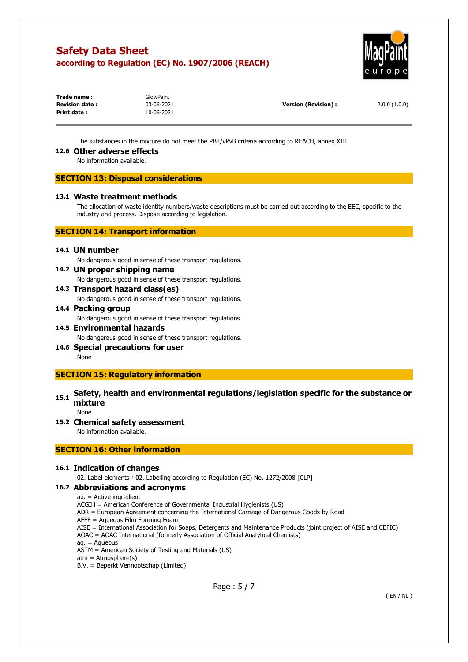

| Trade name:           | GlowPaint  |                      |              |
|-----------------------|------------|----------------------|--------------|
| <b>Revision date:</b> | 03-06-2021 | Version (Revision) : | 2.0.0(1.0.0) |
| Print date:           | 10-06-2021 |                      |              |

The substances in the mixture do not meet the PBT/vPvB criteria according to REACH, annex XIII.

#### **12.6 Other adverse effects**

No information available.

## **SECTION 13: Disposal considerations**

#### **13.1 Waste treatment methods**

The allocation of waste identity numbers/waste descriptions must be carried out according to the EEC, specific to the industry and process. Dispose according to legislation.

## **SECTION 14: Transport information**

## **14.1 UN number**

No dangerous good in sense of these transport regulations.

# **14.2 UN proper shipping name**

No dangerous good in sense of these transport regulations.

**14.3 Transport hazard class(es)** 

No dangerous good in sense of these transport regulations.

# **14.4 Packing group**

No dangerous good in sense of these transport regulations.

- **14.5 Environmental hazards**  No dangerous good in sense of these transport regulations.
- **14.6 Special precautions for user**  None

# **SECTION 15: Regulatory information**

# **15.1 Safety, health and environmental regulations/legislation specific for the substance or mixture**

None

## **15.2 Chemical safety assessment**

No information available.

## **SECTION 16: Other information**

# **16.1 Indication of changes**

02. Label elements · 02. Labelling according to Regulation (EC) No. 1272/2008 [CLP]

## **16.2 Abbreviations and acronyms**

a.i. = Active ingredient

- ACGIH = American Conference of Governmental Industrial Hygienists (US)
- ADR = European Agreement concerning the International Carriage of Dangerous Goods by Road
- AFFF = Aqueous Film Forming Foam
- AISE = International Association for Soaps, Detergents and Maintenance Products (joint project of AISE and CEFIC) AOAC = AOAC International (formerly Association of Official Analytical Chemists)

aq. = Aqueous

- ASTM = American Society of Testing and Materials (US)
- $atm = Atmosphere(s)$
- B.V. = Beperkt Vennootschap (Limited)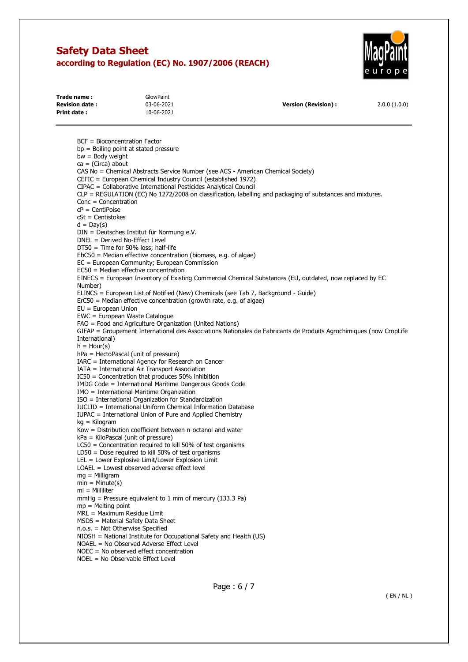**Trade name :** GlowPaint



| <b>Revision date:</b>  | 03-06-2021                                                                                                                                                     | <b>Version (Revision):</b>                                                                                         | 2.0.0(1.0.0) |
|------------------------|----------------------------------------------------------------------------------------------------------------------------------------------------------------|--------------------------------------------------------------------------------------------------------------------|--------------|
| Print date:            | 10-06-2021                                                                                                                                                     |                                                                                                                    |              |
|                        | $BCF = Bioconcentration Factor$                                                                                                                                |                                                                                                                    |              |
|                        | $bp =$ Boiling point at stated pressure                                                                                                                        |                                                                                                                    |              |
| $bw = Body weight$     |                                                                                                                                                                |                                                                                                                    |              |
| $ca = (Circa)$ about   |                                                                                                                                                                |                                                                                                                    |              |
|                        | CAS No = Chemical Abstracts Service Number (see ACS - American Chemical Society)                                                                               |                                                                                                                    |              |
|                        | CEFIC = European Chemical Industry Council (established 1972)                                                                                                  |                                                                                                                    |              |
|                        | CIPAC = Collaborative International Pesticides Analytical Council                                                                                              |                                                                                                                    |              |
|                        |                                                                                                                                                                | CLP = REGULATION (EC) No 1272/2008 on classification, labelling and packaging of substances and mixtures.          |              |
| $Conc = Concentration$ |                                                                                                                                                                |                                                                                                                    |              |
| $cP = CentiPoise$      |                                                                                                                                                                |                                                                                                                    |              |
| $cSt = Centistokes$    |                                                                                                                                                                |                                                                                                                    |              |
| $d = Day(s)$           |                                                                                                                                                                |                                                                                                                    |              |
|                        | DIN = Deutsches Institut für Normung e.V.                                                                                                                      |                                                                                                                    |              |
|                        | DNEL = Derived No-Effect Level                                                                                                                                 |                                                                                                                    |              |
|                        | $DT50 = Time$ for 50% loss; half-life                                                                                                                          |                                                                                                                    |              |
|                        | $EbC50$ = Median effective concentration (biomass, e.g. of algae)                                                                                              |                                                                                                                    |              |
|                        | EC = European Community; European Commission                                                                                                                   |                                                                                                                    |              |
|                        | EC50 = Median effective concentration                                                                                                                          |                                                                                                                    |              |
|                        |                                                                                                                                                                | EINECS = European Inventory of Existing Commercial Chemical Substances (EU, outdated, now replaced by EC           |              |
| Number)                |                                                                                                                                                                |                                                                                                                    |              |
|                        | ELINCS = European List of Notified (New) Chemicals (see Tab 7, Background - Guide)<br>$E r C 50$ = Median effective concentration (growth rate, e.g. of algae) |                                                                                                                    |              |
| $EU = European Union$  |                                                                                                                                                                |                                                                                                                    |              |
|                        | EWC = European Waste Catalogue                                                                                                                                 |                                                                                                                    |              |
|                        | FAO = Food and Agriculture Organization (United Nations)                                                                                                       |                                                                                                                    |              |
|                        |                                                                                                                                                                | GIFAP = Groupement International des Associations Nationales de Fabricants de Produits Agrochimiques (now CropLife |              |
| International)         |                                                                                                                                                                |                                                                                                                    |              |
| $h =$ Hour(s)          |                                                                                                                                                                |                                                                                                                    |              |
|                        | $hPa = HectoPascal$ (unit of pressure)                                                                                                                         |                                                                                                                    |              |
|                        | IARC = International Agency for Research on Cancer                                                                                                             |                                                                                                                    |              |
|                        | IATA = International Air Transport Association                                                                                                                 |                                                                                                                    |              |
|                        |                                                                                                                                                                |                                                                                                                    |              |

IC50 = Concentration that produces 50% inhibition IMDG Code = International Maritime Dangerous Goods Code

IMO = International Maritime Organization

ISO = International Organization for Standardization

IUCLID = International Uniform Chemical Information Database

IUPAC = International Union of Pure and Applied Chemistry

kg = Kilogram

Kow = Distribution coefficient between n-octanol and water

kPa = KiloPascal (unit of pressure)

LC50 = Concentration required to kill 50% of test organisms

LD50 = Dose required to kill 50% of test organisms

LEL = Lower Explosive Limit/Lower Explosion Limit

LOAEL = Lowest observed adverse effect level

mg = Milligram

 $min = Minute(s)$ 

ml = Milliliter

mmHg = Pressure equivalent to 1 mm of mercury (133.3 Pa)

mp = Melting point

MRL = Maximum Residue Limit

MSDS = Material Safety Data Sheet

n.o.s. = Not Otherwise Specified

NIOSH = National Institute for Occupational Safety and Health (US)

NOAEL = No Observed Adverse Effect Level

NOEC = No observed effect concentration

NOEL = No Observable Effect Level